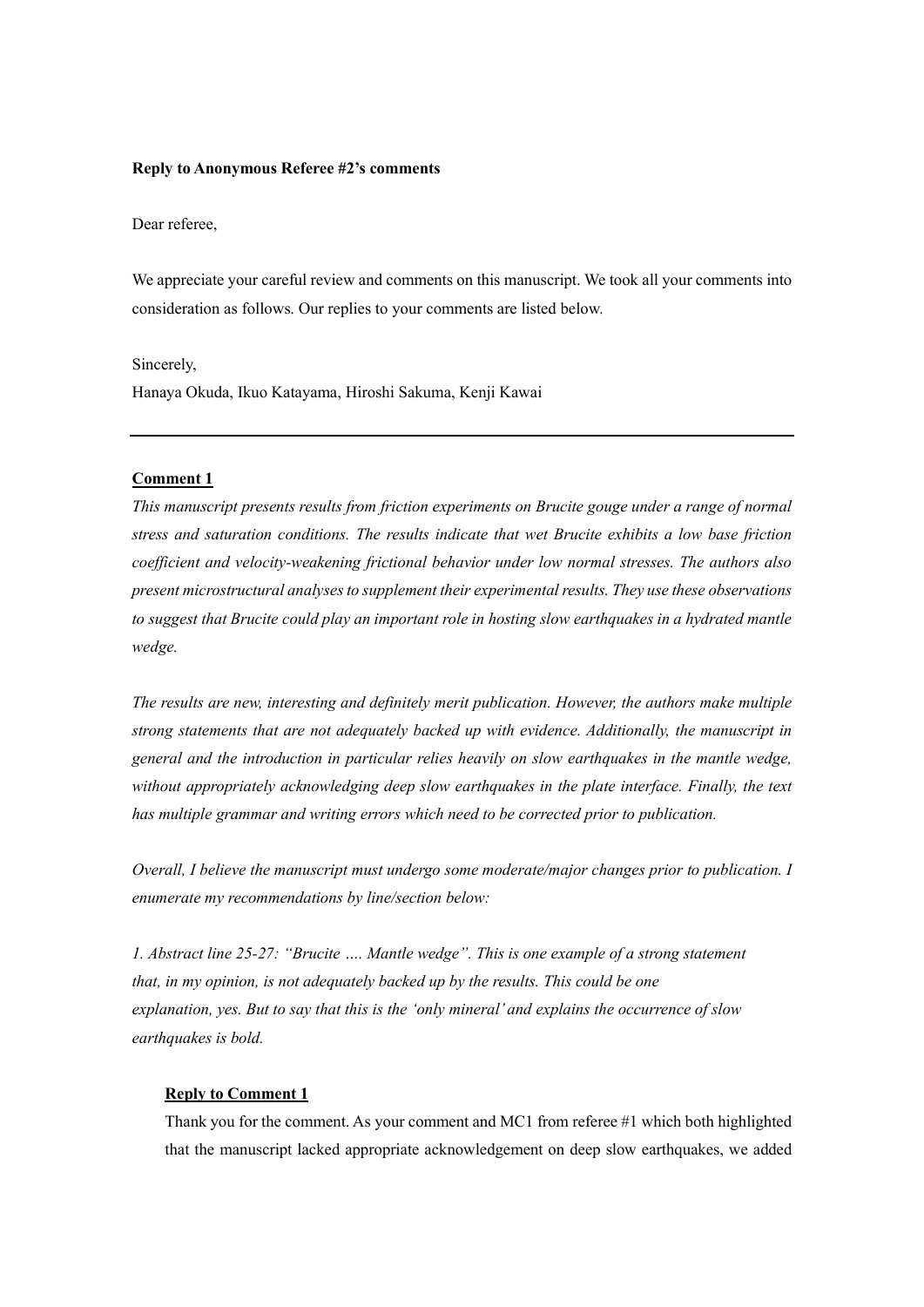#### Reply to Anonymous Referee #2's comments

Dear referee,

We appreciate your careful review and comments on this manuscript. We took all your comments into consideration as follows. Our replies to your comments are listed below.

Sincerely,

Hanaya Okuda, Ikuo Katayama, Hiroshi Sakuma, Kenji Kawai

#### Comment 1

This manuscript presents results from friction experiments on Brucite gouge under a range of normal stress and saturation conditions. The results indicate that wet Brucite exhibits a low base friction coefficient and velocity-weakening frictional behavior under low normal stresses. The authors also present microstructural analyses to supplement their experimental results. They use these observations to suggest that Brucite could play an important role in hosting slow earthquakes in a hydrated mantle wedge.

The results are new, interesting and definitely merit publication. However, the authors make multiple strong statements that are not adequately backed up with evidence. Additionally, the manuscript in general and the introduction in particular relies heavily on slow earthquakes in the mantle wedge, without appropriately acknowledging deep slow earthquakes in the plate interface. Finally, the text has multiple grammar and writing errors which need to be corrected prior to publication.

Overall, I believe the manuscript must undergo some moderate/major changes prior to publication. I enumerate my recommendations by line/section below:

1. Abstract line 25-27: "Brucite …. Mantle wedge". This is one example of a strong statement that, in my opinion, is not adequately backed up by the results. This could be one explanation, yes. But to say that this is the 'only mineral' and explains the occurrence of slow earthquakes is bold.

# Reply to Comment 1

Thank you for the comment. As your comment and MC1 from referee #1 which both highlighted that the manuscript lacked appropriate acknowledgement on deep slow earthquakes, we added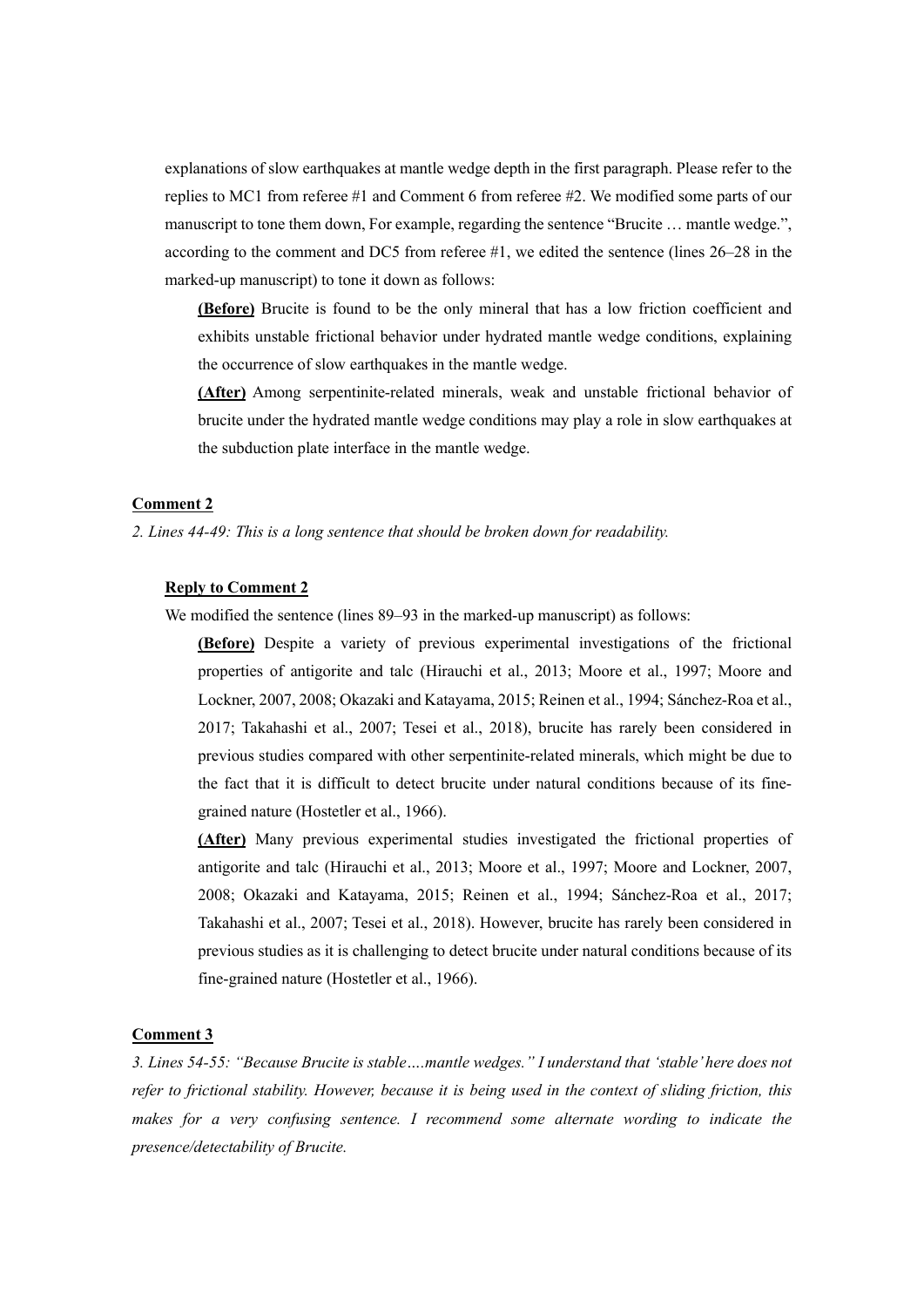explanations of slow earthquakes at mantle wedge depth in the first paragraph. Please refer to the replies to MC1 from referee #1 and Comment 6 from referee #2. We modified some parts of our manuscript to tone them down, For example, regarding the sentence "Brucite … mantle wedge.", according to the comment and DC5 from referee #1, we edited the sentence (lines 26–28 in the marked-up manuscript) to tone it down as follows:

(Before) Brucite is found to be the only mineral that has a low friction coefficient and exhibits unstable frictional behavior under hydrated mantle wedge conditions, explaining the occurrence of slow earthquakes in the mantle wedge.

(After) Among serpentinite-related minerals, weak and unstable frictional behavior of brucite under the hydrated mantle wedge conditions may play a role in slow earthquakes at the subduction plate interface in the mantle wedge.

## Comment 2

#### 2. Lines 44-49: This is a long sentence that should be broken down for readability.

## Reply to Comment 2

We modified the sentence (lines 89–93 in the marked-up manuscript) as follows:

(Before) Despite a variety of previous experimental investigations of the frictional properties of antigorite and talc (Hirauchi et al., 2013; Moore et al., 1997; Moore and Lockner, 2007, 2008; Okazaki and Katayama, 2015; Reinen et al., 1994; Sánchez-Roa et al., 2017; Takahashi et al., 2007; Tesei et al., 2018), brucite has rarely been considered in previous studies compared with other serpentinite-related minerals, which might be due to the fact that it is difficult to detect brucite under natural conditions because of its finegrained nature (Hostetler et al., 1966).

(After) Many previous experimental studies investigated the frictional properties of antigorite and talc (Hirauchi et al., 2013; Moore et al., 1997; Moore and Lockner, 2007, 2008; Okazaki and Katayama, 2015; Reinen et al., 1994; Sánchez-Roa et al., 2017; Takahashi et al., 2007; Tesei et al., 2018). However, brucite has rarely been considered in previous studies as it is challenging to detect brucite under natural conditions because of its fine-grained nature (Hostetler et al., 1966).

## Comment 3

3. Lines 54-55: "Because Brucite is stable….mantle wedges." I understand that 'stable' here does not refer to frictional stability. However, because it is being used in the context of sliding friction, this makes for a very confusing sentence. I recommend some alternate wording to indicate the presence/detectability of Brucite.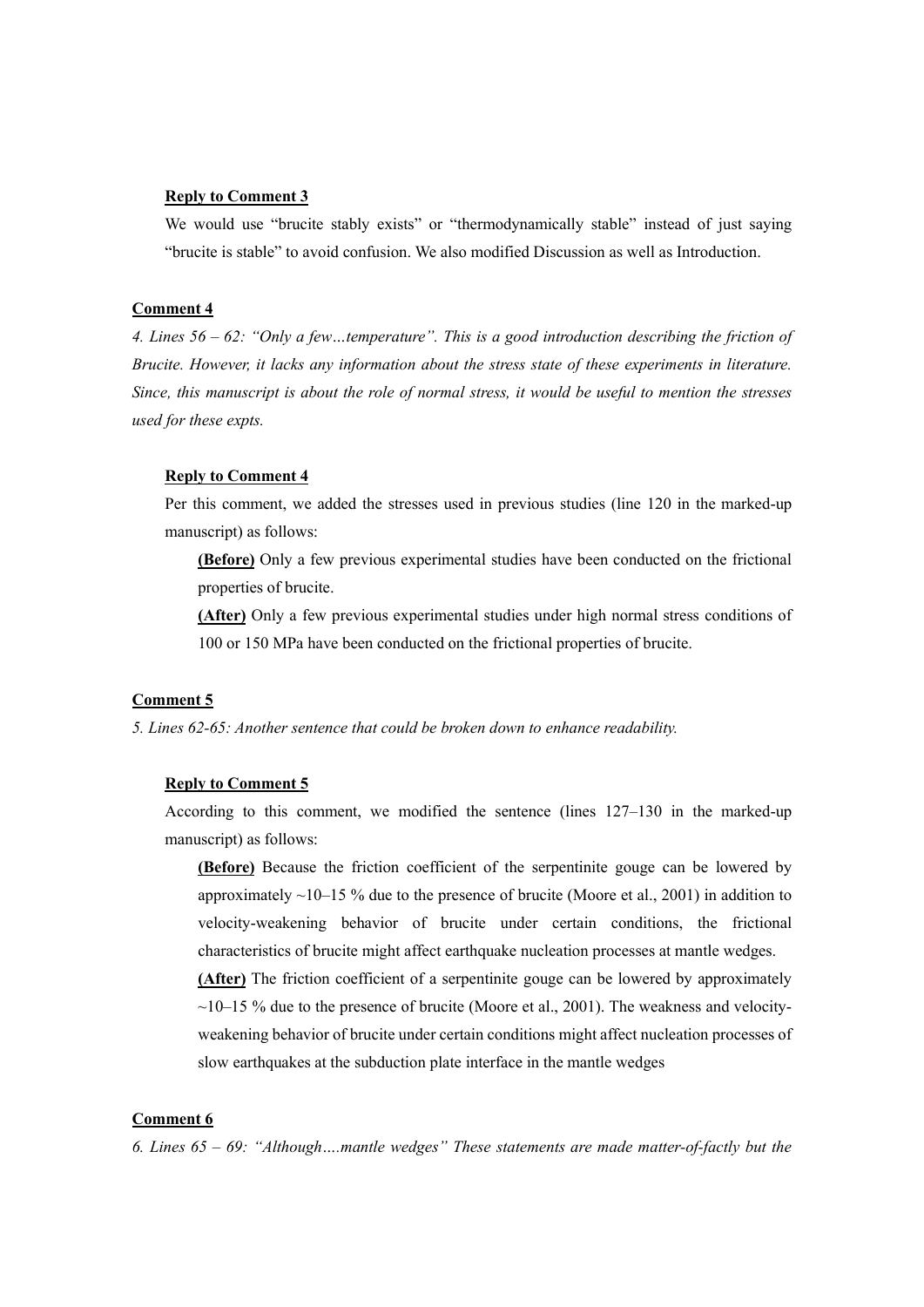# Reply to Comment 3

We would use "brucite stably exists" or "thermodynamically stable" instead of just saying "brucite is stable" to avoid confusion. We also modified Discussion as well as Introduction.

#### Comment 4

4. Lines 56 – 62: "Only a few…temperature". This is a good introduction describing the friction of Brucite. However, it lacks any information about the stress state of these experiments in literature. Since, this manuscript is about the role of normal stress, it would be useful to mention the stresses used for these expts.

## Reply to Comment 4

Per this comment, we added the stresses used in previous studies (line 120 in the marked-up manuscript) as follows:

(Before) Only a few previous experimental studies have been conducted on the frictional properties of brucite.

(After) Only a few previous experimental studies under high normal stress conditions of 100 or 150 MPa have been conducted on the frictional properties of brucite.

#### Comment 5

5. Lines 62-65: Another sentence that could be broken down to enhance readability.

#### Reply to Comment 5

According to this comment, we modified the sentence (lines 127–130 in the marked-up manuscript) as follows:

(Before) Because the friction coefficient of the serpentinite gouge can be lowered by approximately  $\sim$ 10–15 % due to the presence of brucite (Moore et al., 2001) in addition to velocity-weakening behavior of brucite under certain conditions, the frictional characteristics of brucite might affect earthquake nucleation processes at mantle wedges.

(After) The friction coefficient of a serpentinite gouge can be lowered by approximately  $\sim$ 10–15 % due to the presence of brucite (Moore et al., 2001). The weakness and velocityweakening behavior of brucite under certain conditions might affect nucleation processes of slow earthquakes at the subduction plate interface in the mantle wedges

# Comment 6

6. Lines  $65 - 69$ : "Although....mantle wedges" These statements are made matter-of-factly but the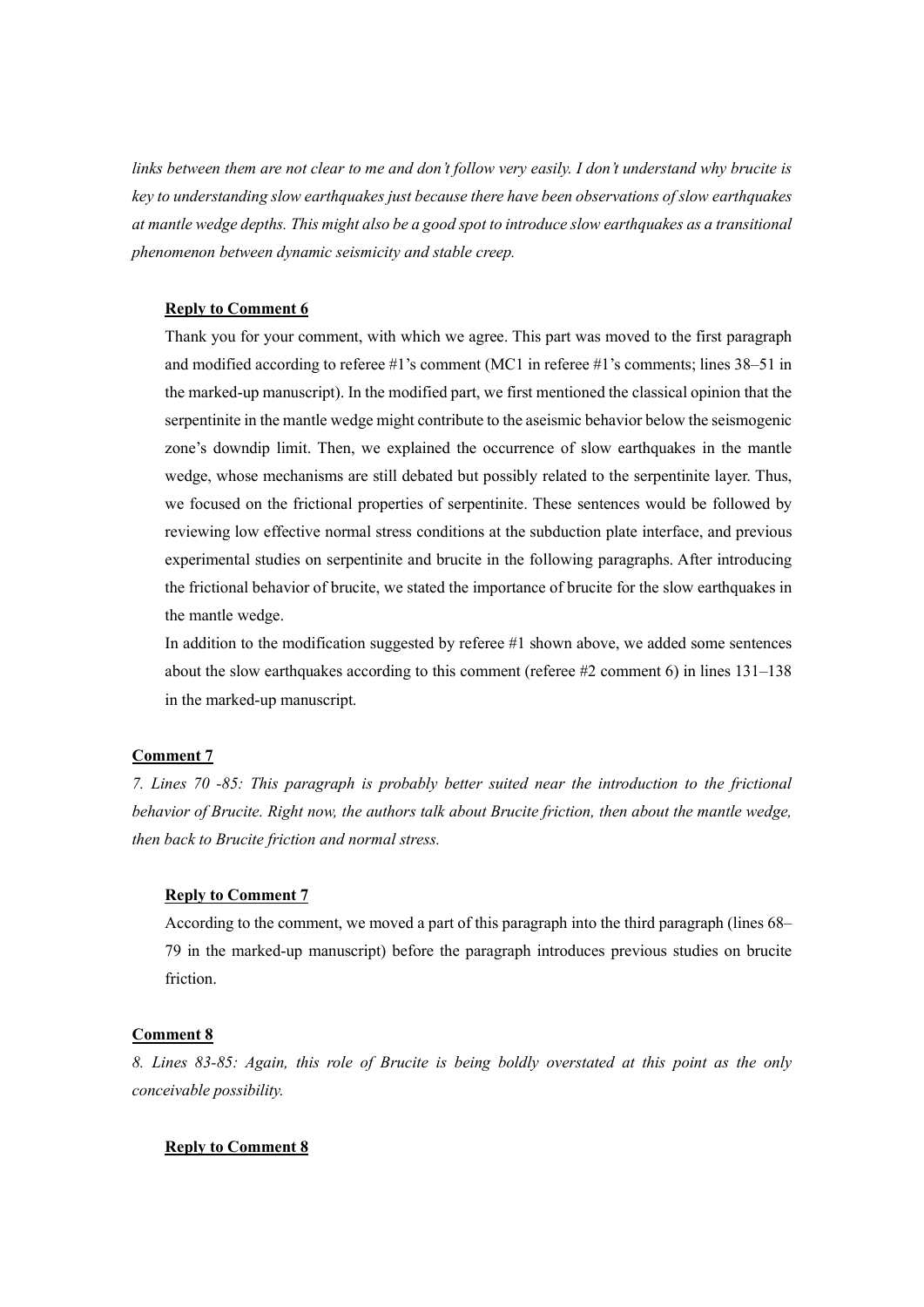links between them are not clear to me and don't follow very easily. I don't understand why brucite is key to understanding slow earthquakes just because there have been observations of slow earthquakes at mantle wedge depths. This might also be a good spot to introduce slow earthquakes as a transitional phenomenon between dynamic seismicity and stable creep.

#### Reply to Comment 6

Thank you for your comment, with which we agree. This part was moved to the first paragraph and modified according to referee #1's comment (MC1 in referee #1's comments; lines 38–51 in the marked-up manuscript). In the modified part, we first mentioned the classical opinion that the serpentinite in the mantle wedge might contribute to the aseismic behavior below the seismogenic zone's downdip limit. Then, we explained the occurrence of slow earthquakes in the mantle wedge, whose mechanisms are still debated but possibly related to the serpentinite layer. Thus, we focused on the frictional properties of serpentinite. These sentences would be followed by reviewing low effective normal stress conditions at the subduction plate interface, and previous experimental studies on serpentinite and brucite in the following paragraphs. After introducing the frictional behavior of brucite, we stated the importance of brucite for the slow earthquakes in the mantle wedge.

In addition to the modification suggested by referee #1 shown above, we added some sentences about the slow earthquakes according to this comment (referee #2 comment 6) in lines 131–138 in the marked-up manuscript.

# Comment 7

7. Lines 70 -85: This paragraph is probably better suited near the introduction to the frictional behavior of Brucite. Right now, the authors talk about Brucite friction, then about the mantle wedge, then back to Brucite friction and normal stress.

## Reply to Comment 7

According to the comment, we moved a part of this paragraph into the third paragraph (lines 68– 79 in the marked-up manuscript) before the paragraph introduces previous studies on brucite friction.

#### Comment 8

8. Lines 83-85: Again, this role of Brucite is being boldly overstated at this point as the only conceivable possibility.

## Reply to Comment 8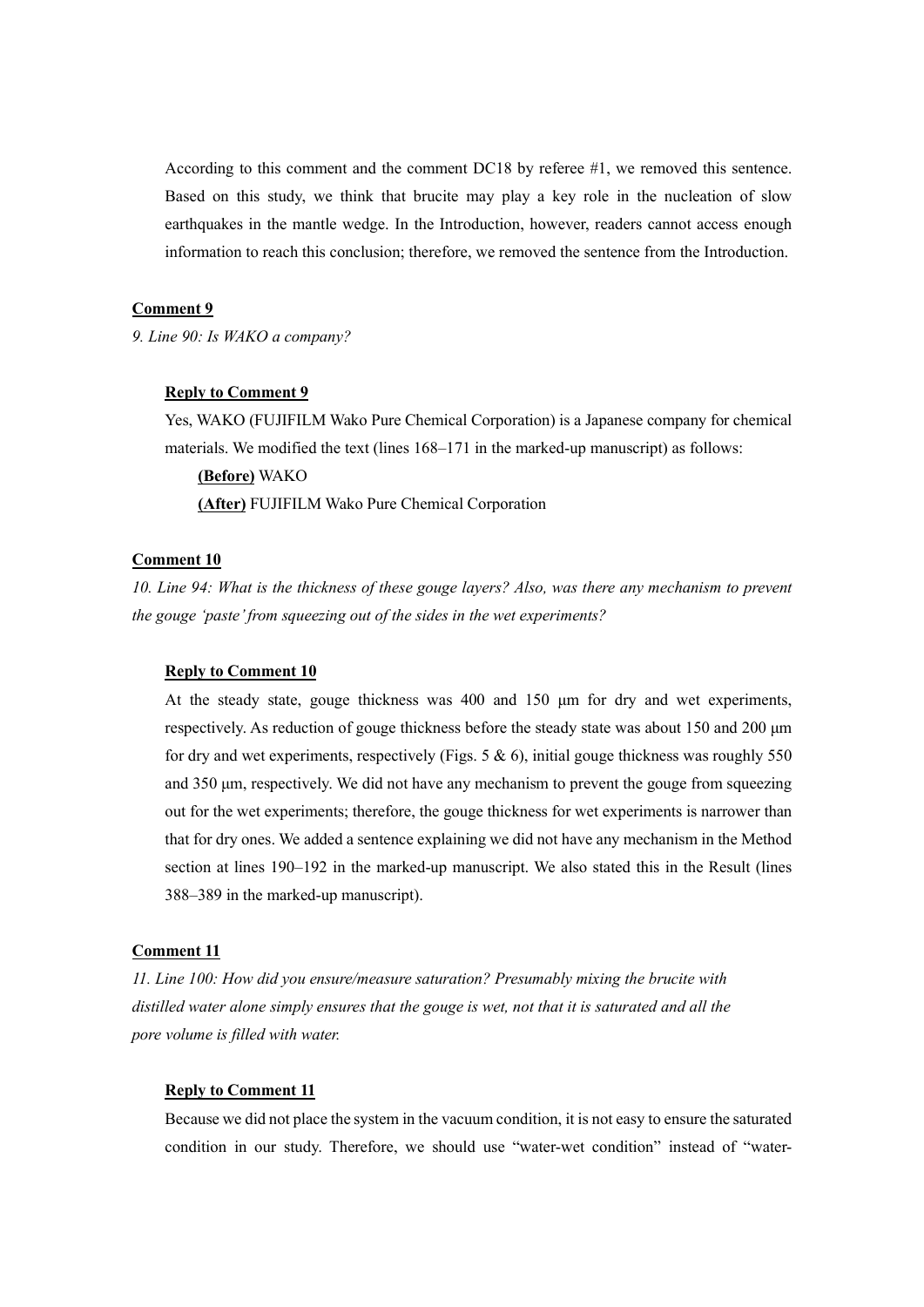According to this comment and the comment DC18 by referee #1, we removed this sentence. Based on this study, we think that brucite may play a key role in the nucleation of slow earthquakes in the mantle wedge. In the Introduction, however, readers cannot access enough information to reach this conclusion; therefore, we removed the sentence from the Introduction.

## Comment 9

9. Line 90: Is WAKO a company?

# Reply to Comment 9

Yes, WAKO (FUJIFILM Wako Pure Chemical Corporation) is a Japanese company for chemical materials. We modified the text (lines 168–171 in the marked-up manuscript) as follows:

(Before) WAKO (After) FUJIFILM Wako Pure Chemical Corporation

#### Comment 10

10. Line 94: What is the thickness of these gouge layers? Also, was there any mechanism to prevent the gouge 'paste' from squeezing out of the sides in the wet experiments?

#### Reply to Comment 10

At the steady state, gouge thickness was 400 and 150 μm for dry and wet experiments, respectively. As reduction of gouge thickness before the steady state was about 150 and 200 μm for dry and wet experiments, respectively (Figs.  $5 & 6$ ), initial gouge thickness was roughly  $550$ and 350 μm, respectively. We did not have any mechanism to prevent the gouge from squeezing out for the wet experiments; therefore, the gouge thickness for wet experiments is narrower than that for dry ones. We added a sentence explaining we did not have any mechanism in the Method section at lines 190–192 in the marked-up manuscript. We also stated this in the Result (lines 388–389 in the marked-up manuscript).

## Comment 11

11. Line 100: How did you ensure/measure saturation? Presumably mixing the brucite with distilled water alone simply ensures that the gouge is wet, not that it is saturated and all the pore volume is filled with water.

## Reply to Comment 11

Because we did not place the system in the vacuum condition, it is not easy to ensure the saturated condition in our study. Therefore, we should use "water-wet condition" instead of "water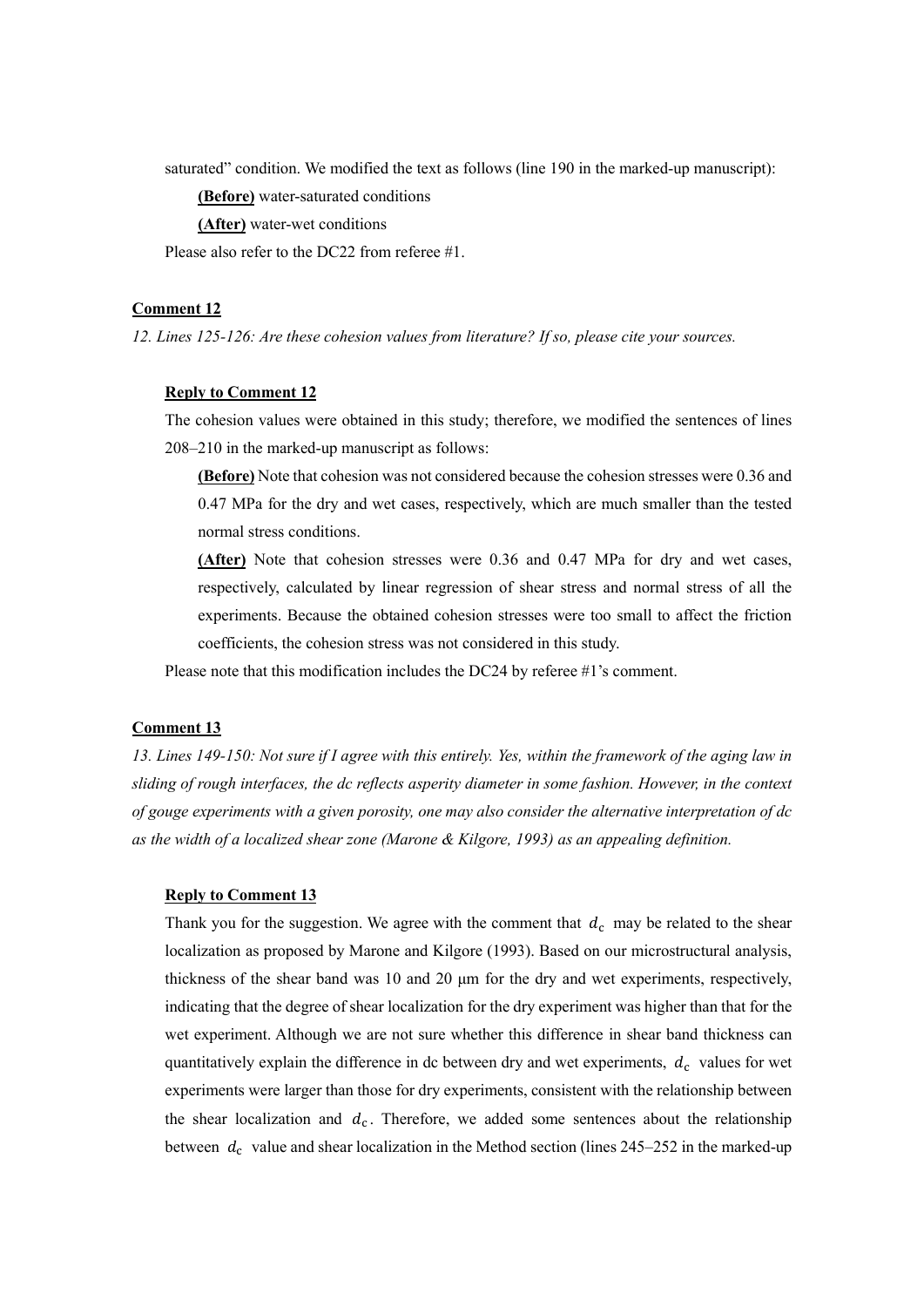saturated" condition. We modified the text as follows (line 190 in the marked-up manuscript):

(Before) water-saturated conditions

(After) water-wet conditions

Please also refer to the DC22 from referee #1.

## Comment 12

12. Lines 125-126: Are these cohesion values from literature? If so, please cite your sources.

#### Reply to Comment 12

The cohesion values were obtained in this study; therefore, we modified the sentences of lines 208–210 in the marked-up manuscript as follows:

(Before) Note that cohesion was not considered because the cohesion stresses were 0.36 and 0.47 MPa for the dry and wet cases, respectively, which are much smaller than the tested normal stress conditions.

(After) Note that cohesion stresses were 0.36 and 0.47 MPa for dry and wet cases, respectively, calculated by linear regression of shear stress and normal stress of all the experiments. Because the obtained cohesion stresses were too small to affect the friction coefficients, the cohesion stress was not considered in this study.

Please note that this modification includes the DC24 by referee #1's comment.

## Comment 13

13. Lines 149-150: Not sure if I agree with this entirely. Yes, within the framework of the aging law in sliding of rough interfaces, the dc reflects asperity diameter in some fashion. However, in the context of gouge experiments with a given porosity, one may also consider the alternative interpretation of dc as the width of a localized shear zone (Marone & Kilgore, 1993) as an appealing definition.

#### Reply to Comment 13

Thank you for the suggestion. We agree with the comment that  $d_c$  may be related to the shear localization as proposed by Marone and Kilgore (1993). Based on our microstructural analysis, thickness of the shear band was 10 and 20 μm for the dry and wet experiments, respectively, indicating that the degree of shear localization for the dry experiment was higher than that for the wet experiment. Although we are not sure whether this difference in shear band thickness can quantitatively explain the difference in dc between dry and wet experiments,  $d_c$  values for wet experiments were larger than those for dry experiments, consistent with the relationship between the shear localization and  $d_c$ . Therefore, we added some sentences about the relationship between  $d_c$  value and shear localization in the Method section (lines 245–252 in the marked-up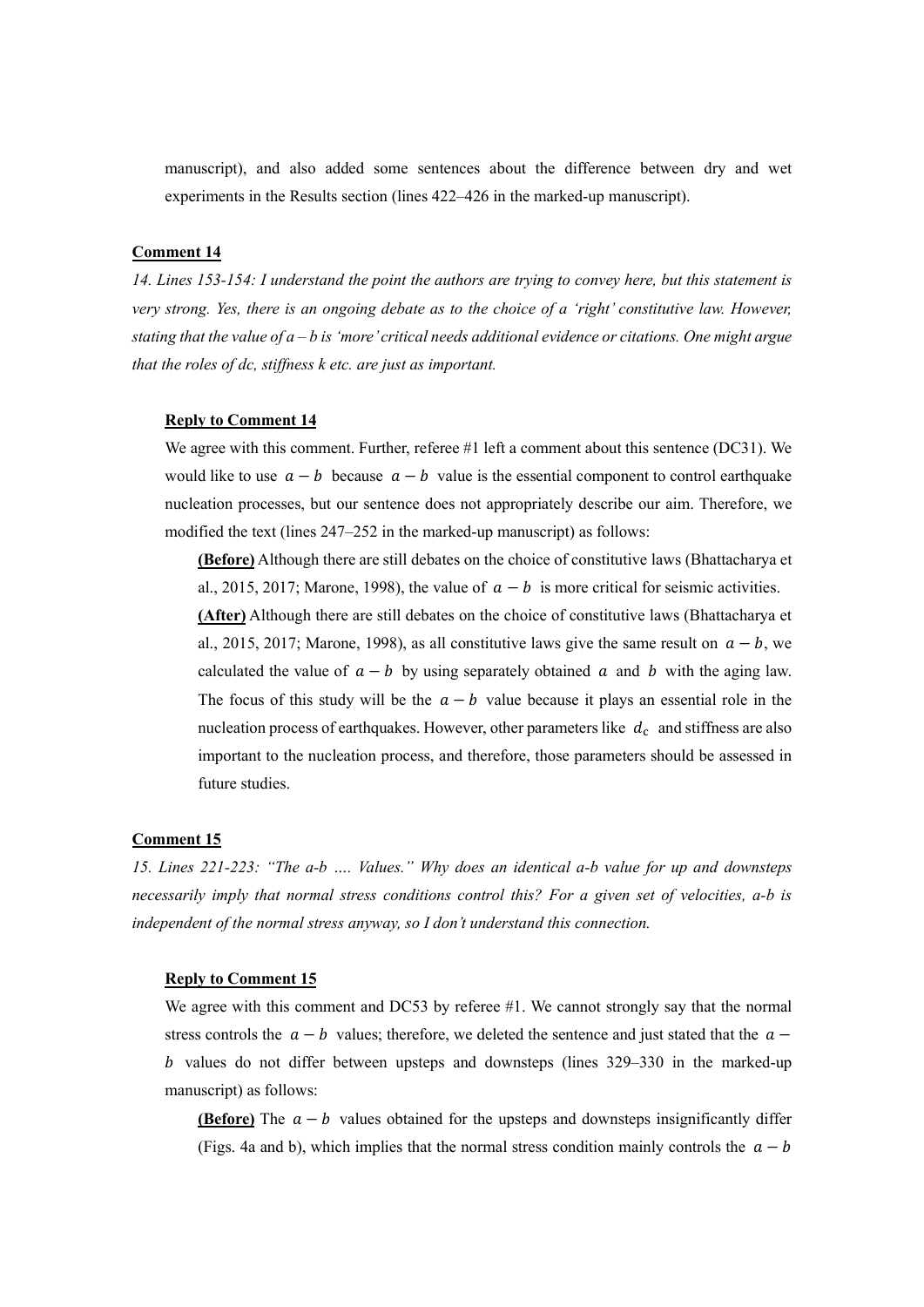manuscript), and also added some sentences about the difference between dry and wet experiments in the Results section (lines 422–426 in the marked-up manuscript).

## Comment 14

14. Lines 153-154: I understand the point the authors are trying to convey here, but this statement is very strong. Yes, there is an ongoing debate as to the choice of a 'right' constitutive law. However, stating that the value of  $a - b$  is 'more' critical needs additional evidence or citations. One might argue that the roles of dc, stiffness k etc. are just as important.

#### Reply to Comment 14

We agree with this comment. Further, referee #1 left a comment about this sentence (DC31). We would like to use  $a - b$  because  $a - b$  value is the essential component to control earthquake nucleation processes, but our sentence does not appropriately describe our aim. Therefore, we modified the text (lines 247–252 in the marked-up manuscript) as follows:

(Before) Although there are still debates on the choice of constitutive laws (Bhattacharya et al., 2015, 2017; Marone, 1998), the value of  $a - b$  is more critical for seismic activities. (After) Although there are still debates on the choice of constitutive laws (Bhattacharya et al., 2015, 2017; Marone, 1998), as all constitutive laws give the same result on  $a - b$ , we calculated the value of  $a - b$  by using separately obtained a and b with the aging law. The focus of this study will be the  $a - b$  value because it plays an essential role in the nucleation process of earthquakes. However, other parameters like  $d_c$  and stiffness are also important to the nucleation process, and therefore, those parameters should be assessed in future studies.

## Comment 15

15. Lines 221-223: "The a-b …. Values." Why does an identical a-b value for up and downsteps necessarily imply that normal stress conditions control this? For a given set of velocities, a-b is independent of the normal stress anyway, so I don't understand this connection.

#### Reply to Comment 15

We agree with this comment and DC53 by referee #1. We cannot strongly say that the normal stress controls the  $a - b$  values; therefore, we deleted the sentence and just stated that the  $a - b$  $b$  values do not differ between upsteps and downsteps (lines  $329-330$  in the marked-up manuscript) as follows:

(Before) The  $a - b$  values obtained for the upsteps and downsteps insignificantly differ (Figs. 4a and b), which implies that the normal stress condition mainly controls the  $a - b$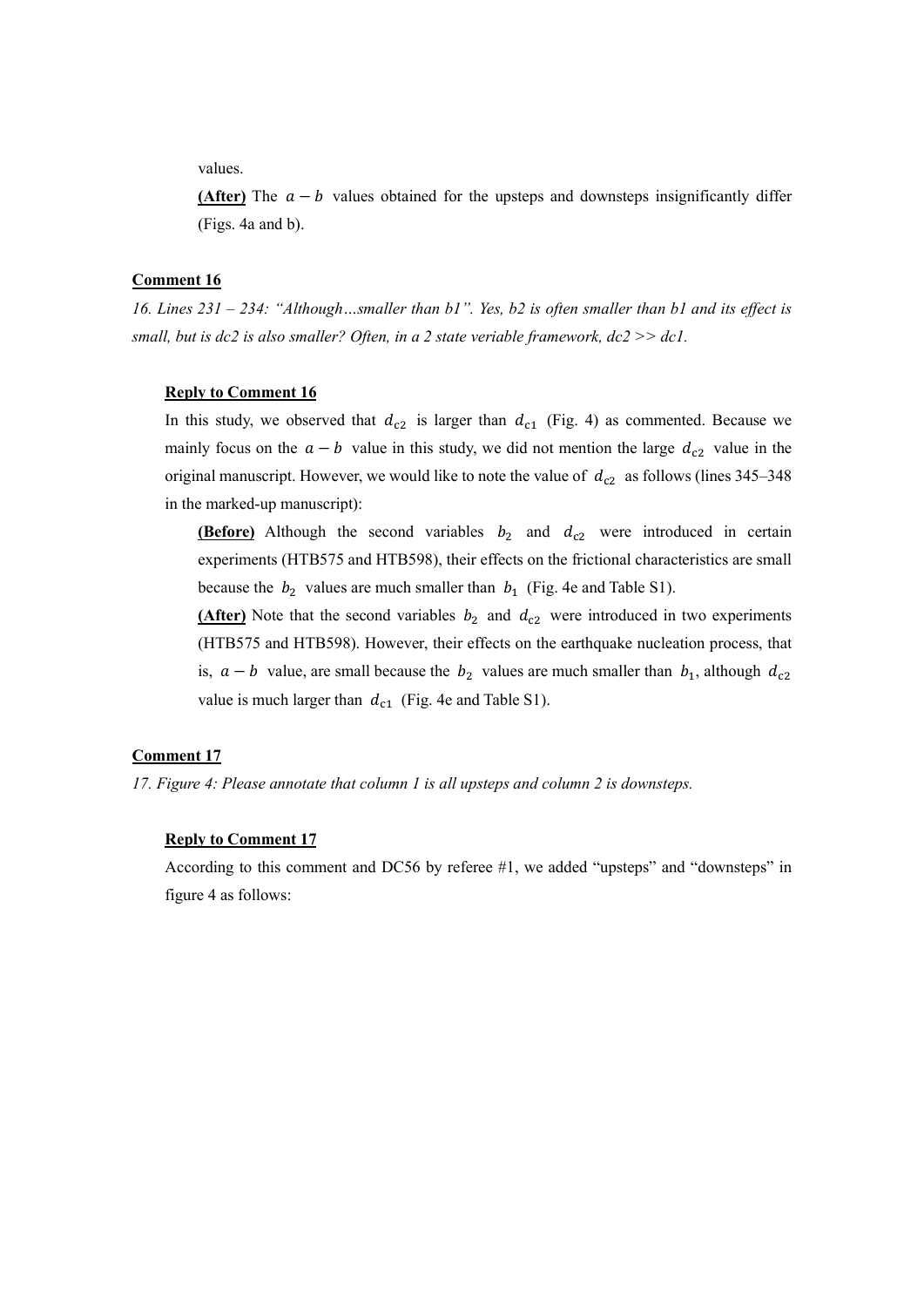values.

(After) The  $a - b$  values obtained for the upsteps and downsteps insignificantly differ (Figs. 4a and b).

### Comment 16

16. Lines 231 – 234: "Although…smaller than b1". Yes, b2 is often smaller than b1 and its effect is small, but is dc2 is also smaller? Often, in a 2 state veriable framework,  $dc2 \gg dc1$ .

#### Reply to Comment 16

In this study, we observed that  $d_{c2}$  is larger than  $d_{c1}$  (Fig. 4) as commented. Because we mainly focus on the  $a - b$  value in this study, we did not mention the large  $d_{c2}$  value in the original manuscript. However, we would like to note the value of  $d_{c2}$  as follows (lines 345–348) in the marked-up manuscript):

**(Before)** Although the second variables  $b_2$  and  $d_{c2}$  were introduced in certain experiments (HTB575 and HTB598), their effects on the frictional characteristics are small because the  $b_2$  values are much smaller than  $b_1$  (Fig. 4e and Table S1).

(After) Note that the second variables  $b_2$  and  $d_{c2}$  were introduced in two experiments (HTB575 and HTB598). However, their effects on the earthquake nucleation process, that is,  $a - b$  value, are small because the  $b_2$  values are much smaller than  $b_1$ , although  $d_{c2}$ value is much larger than  $d_{c1}$  (Fig. 4e and Table S1).

## Comment 17

17. Figure 4: Please annotate that column 1 is all upsteps and column 2 is downsteps.

## Reply to Comment 17

According to this comment and DC56 by referee #1, we added "upsteps" and "downsteps" in figure 4 as follows: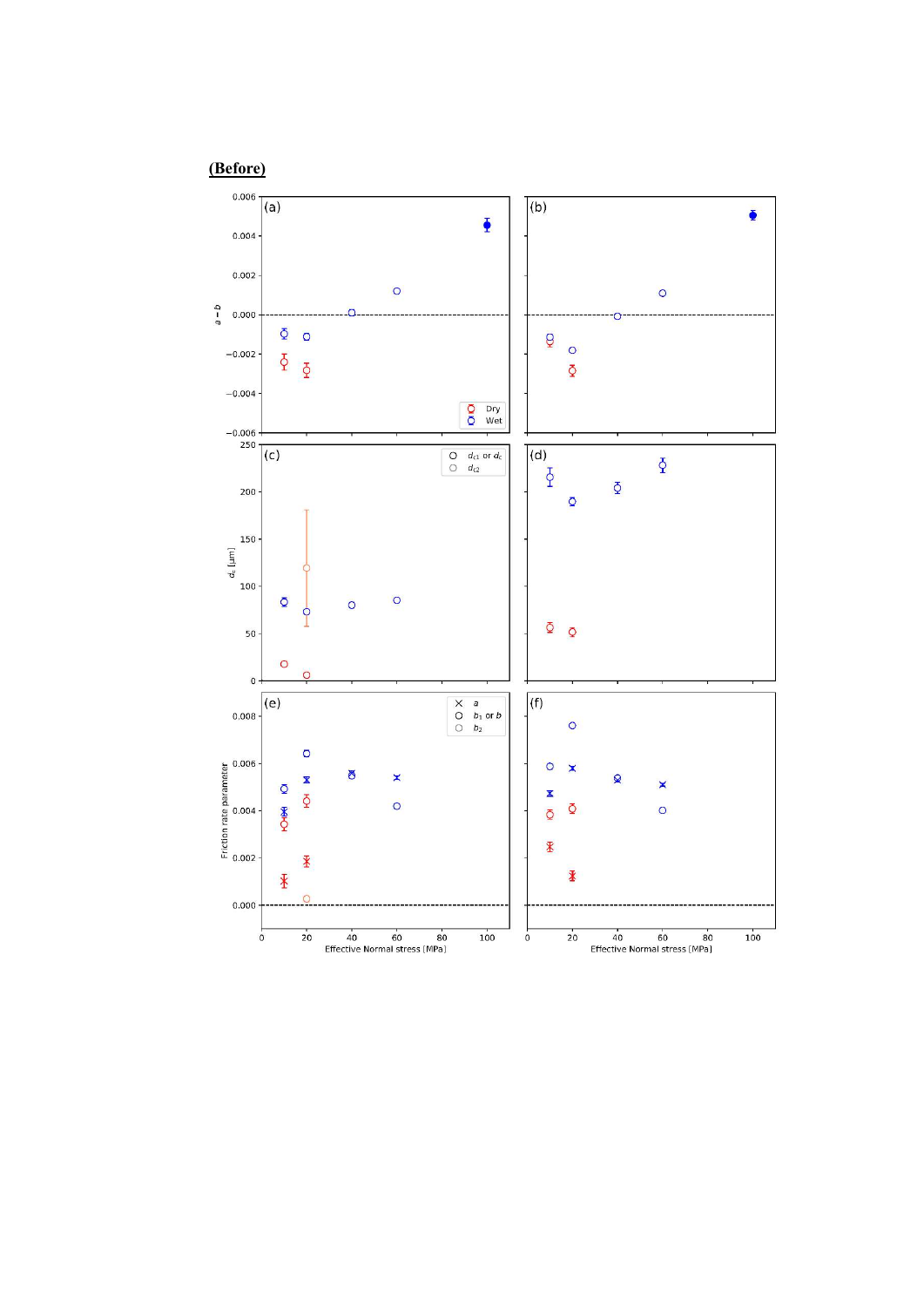(Before)

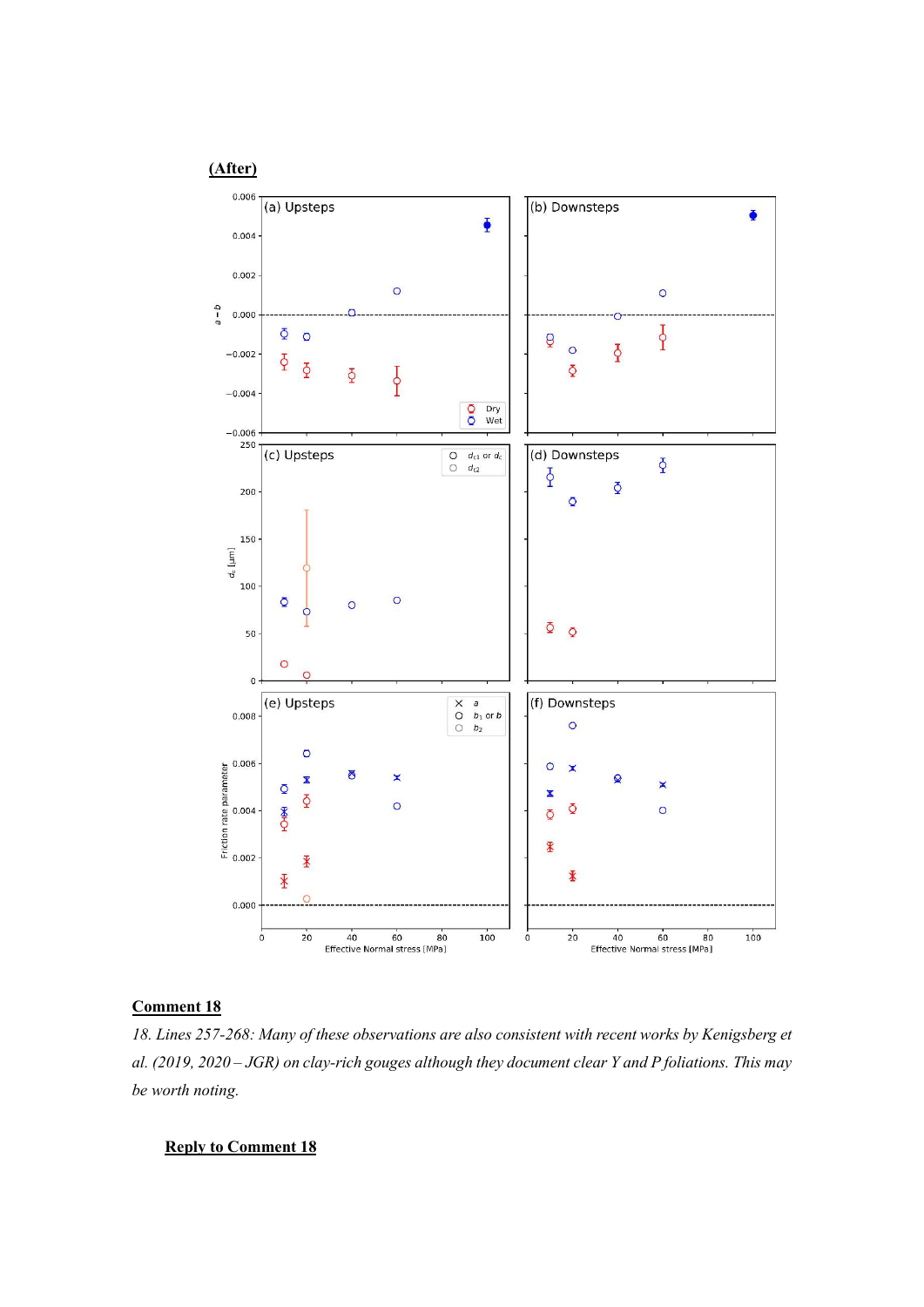# (After)



# Comment 18

18. Lines 257-268: Many of these observations are also consistent with recent works by Kenigsberg et al. (2019, 2020 – JGR) on clay-rich gouges although they document clear Y and P foliations. This may be worth noting.

# Reply to Comment 18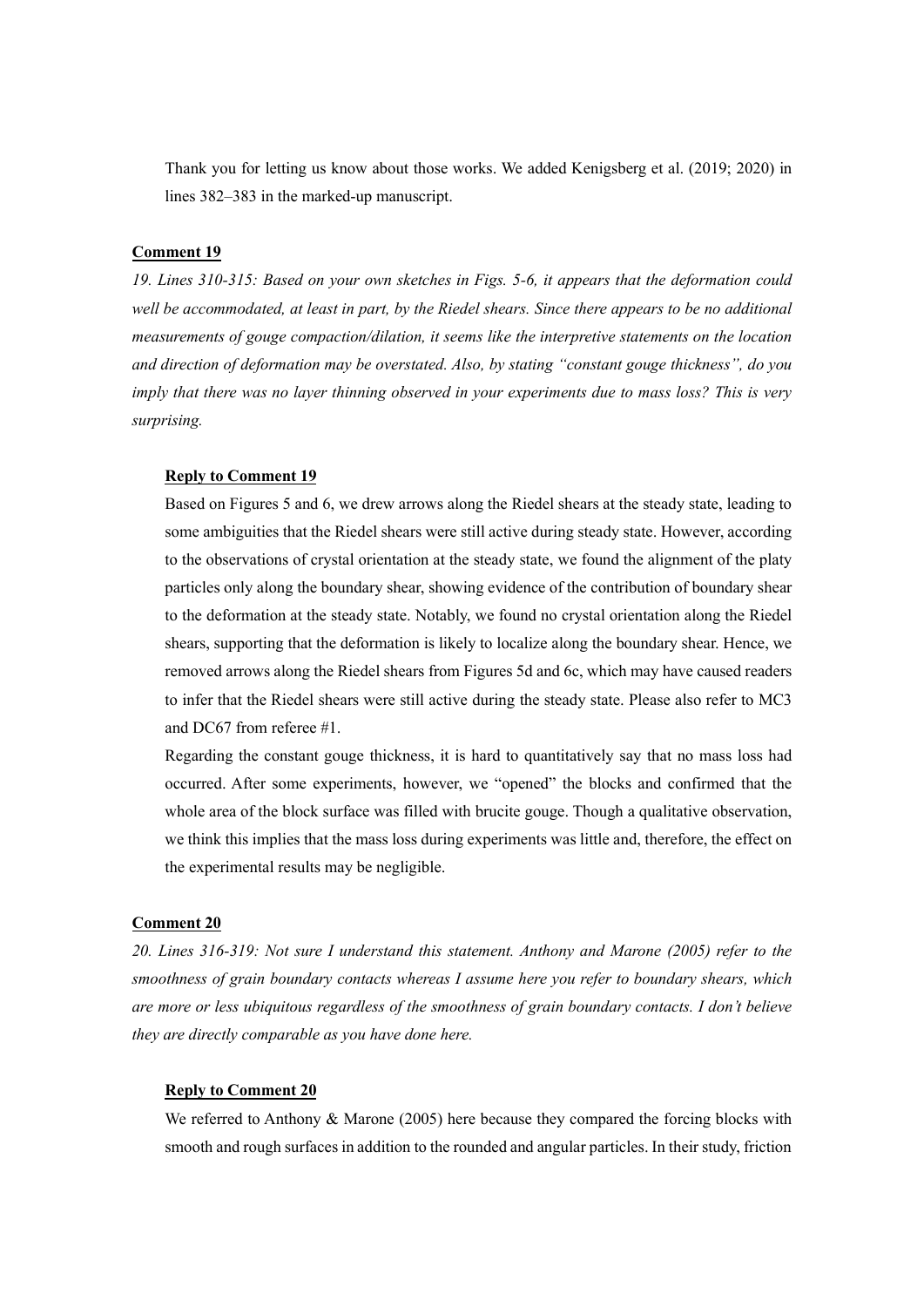Thank you for letting us know about those works. We added Kenigsberg et al. (2019; 2020) in lines 382–383 in the marked-up manuscript.

## Comment 19

19. Lines 310-315: Based on your own sketches in Figs. 5-6, it appears that the deformation could well be accommodated, at least in part, by the Riedel shears. Since there appears to be no additional measurements of gouge compaction/dilation, it seems like the interpretive statements on the location and direction of deformation may be overstated. Also, by stating "constant gouge thickness", do you imply that there was no layer thinning observed in your experiments due to mass loss? This is very surprising.

#### Reply to Comment 19

Based on Figures 5 and 6, we drew arrows along the Riedel shears at the steady state, leading to some ambiguities that the Riedel shears were still active during steady state. However, according to the observations of crystal orientation at the steady state, we found the alignment of the platy particles only along the boundary shear, showing evidence of the contribution of boundary shear to the deformation at the steady state. Notably, we found no crystal orientation along the Riedel shears, supporting that the deformation is likely to localize along the boundary shear. Hence, we removed arrows along the Riedel shears from Figures 5d and 6c, which may have caused readers to infer that the Riedel shears were still active during the steady state. Please also refer to MC3 and DC67 from referee #1.

Regarding the constant gouge thickness, it is hard to quantitatively say that no mass loss had occurred. After some experiments, however, we "opened" the blocks and confirmed that the whole area of the block surface was filled with brucite gouge. Though a qualitative observation, we think this implies that the mass loss during experiments was little and, therefore, the effect on the experimental results may be negligible.

## Comment 20

20. Lines 316-319: Not sure I understand this statement. Anthony and Marone (2005) refer to the smoothness of grain boundary contacts whereas I assume here you refer to boundary shears, which are more or less ubiquitous regardless of the smoothness of grain boundary contacts. I don't believe they are directly comparable as you have done here.

## Reply to Comment 20

We referred to Anthony & Marone (2005) here because they compared the forcing blocks with smooth and rough surfaces in addition to the rounded and angular particles. In their study, friction